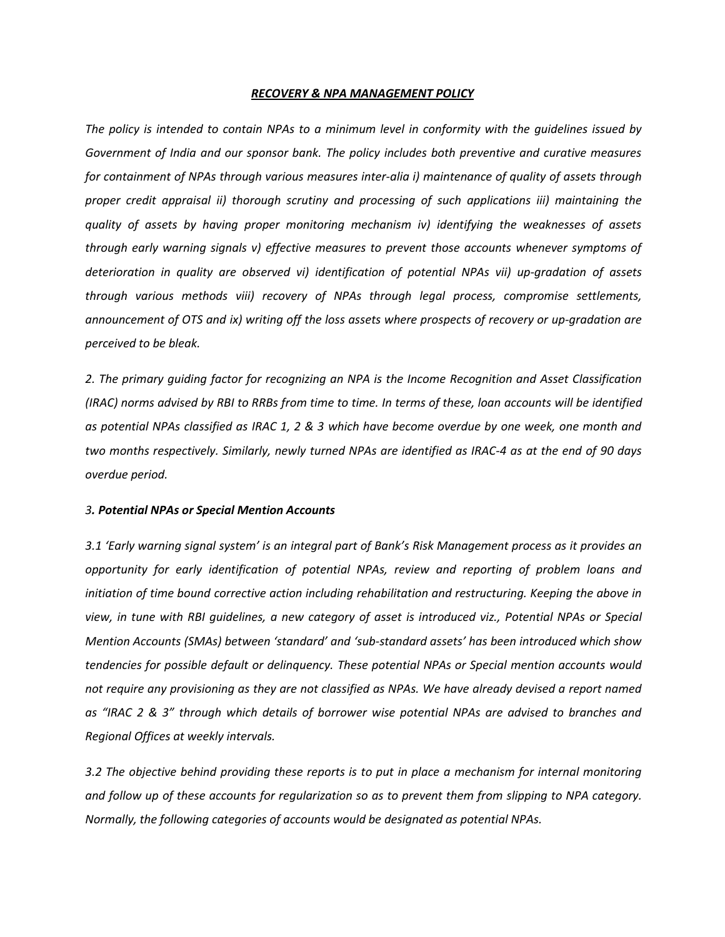#### *RECOVERY & NPA MANAGEMENT POLICY*

The policy is intended to contain NPAs to a minimum level in conformity with the guidelines issued by *Government of India and our sponsor bank. The policy includes both preventive and curative measures for containment of NPAs through various measures inter-alia i) maintenance of quality of assets through proper credit appraisal ii) thorough scrutiny and processing of such applications iii) maintaining the quality of assets by having proper monitoring mechanism iv) identifying the weaknesses of assets through early warning signals v) effective measures to preventthose accounts whenever symptoms of deterioration in quality are observed vi) identification of potentialNPAs vii)up-gradation of assets through various methods viii) recovery of NPAs through legal process, compromise settlements, announcement of OTS and ix) writing off the loss assets where prospects of recovery or up-gradation are perceived to be bleak.*

*2. The primary guiding factor for recognizing an NPA is the Income Recognition and Asset Classification* (IRAC) norms advised by RBI to RRBs from time to time. In terms of these, loan accounts will be identified as potential NPAs classified as IRAC 1, 2 & 3 which have become overdue by one week, one month and two months respectively. Similarly, newly turned NPAs are identified as IRAC-4 as at the end of 90 days *overdue period.*

#### *3. Potential NPAs or Special Mention Accounts*

3.1 'Early warning signal system' is an integral part of Bank's Risk Management process as it provides an *opportunity for early identification of potential NPAs, review and reporting of problem loans and initiation of time bound corrective action including rehabilitation and restructuring. Keeping the above in* view, in tune with RBI quidelines, a new category of asset is introduced viz., Potential NPAs or Special *Mention Accounts (SMAs) between 'standard' and 'sub-standard assets' has been introduced which show tendencies for possible default or delinquency. These potential NPAs or Special mention accounts would not require any provisioning as they are not classified as NPAs.We have already devised a report named as "IRAC 2 & 3" through which details of borrower wise potential NPAs are advised to branches and Regional Offices atweekly intervals.*

*3.2 The objective behind providing these reports is to put in place a mechanism for internal monitoring and follow up of these accounts for regularization so asto preventthem from slipping to NPA category. Normally, the following categories of accounts would be designated as potential NPAs.*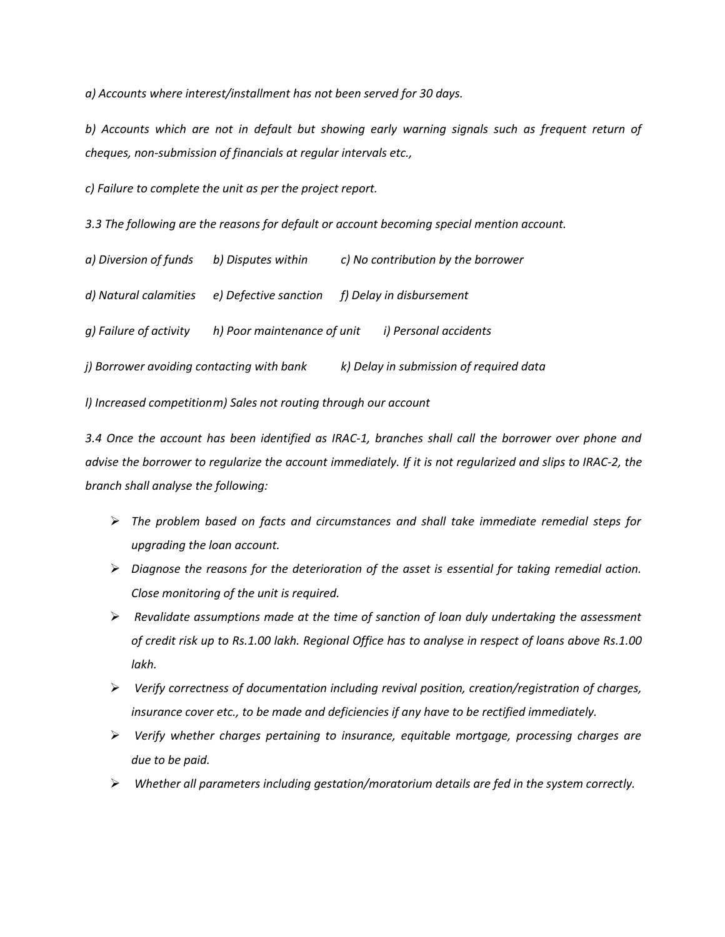*a) Accounts where interest/installment has not been served for 30 days.*

*b) Accounts which are not in default but showing early warning signals such as frequent return of cheques, non-submission of financials atregular intervals etc.,*

*c) Failure to complete the unit as per the project report.*

*3.3 The following are the reasons for default or account becoming special mention account.*

| a) Diversion of funds                     | b) Disputes within          | c) No contribution by the borrower      |
|-------------------------------------------|-----------------------------|-----------------------------------------|
| d) Natural calamities                     | e) Defective sanction       | f) Delay in disbursement                |
| g) Failure of activity                    | h) Poor maintenance of unit | i) Personal accidents                   |
| j) Borrower avoiding contacting with bank |                             | k) Delay in submission of required data |

*l) Increased competitionm) Sales not routing through our account*

*3.4 Once the account has been identified as IRAC-1, branches shall call the borrower over phone and* advise the borrower to reqularize the account immediately. If it is not reqularized and slips to IRAC-2, the *branch shall analyse the following:*

- $\triangleright$  The problem based on facts and circumstances and shall take immediate remedial steps for *upgrading the loan account.*
- *Diagnose the reasons for the deterioration of the asset is essential for taking remedial action. Close monitoring of the unit is required.*
- *Revalidate assumptions made at the time of sanction of loan duly undertaking the assessment of credit risk up to Rs.1.00 lakh. Regional Office hasto analyse in respect of loans above Rs.1.00 lakh.*
- *Verify correctness of documentation including revival position, creation/registration of charges, insurance cover etc., to be made and deficiencies if any have to be rectified <i>immediately*.
- *Verify whether charges pertaining to insurance, equitable mortgage, processing charges are due to be paid.*
- *Whether all parameters including gestation/moratorium details are fed in the system correctly.*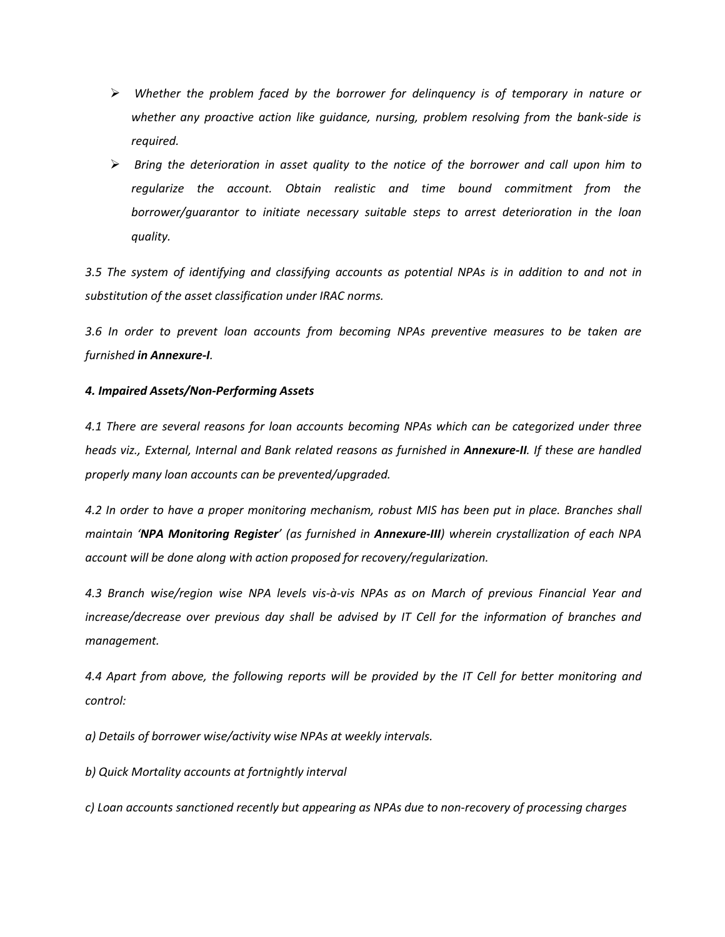- *Whether the problem faced by the borrower for delinquency isof temporary in nature or whether any proactive action like guidance, nursing, problem resolving from the bank-sideis required.*
- *Bring the deterioration in asset quality to the notice of the borrower and call upon him to regularize the account. Obtain realistic and time bound commitment from the borrower/guarantor to initiate necessary suitable steps to arrest deterioration in the loan quality.*

3.5 The system of identifying and classifying accounts as potential NPAs is in addition to and not in *substitution of the asset classification under IRAC norms.*

*3.6 In order to prevent loan accounts from becoming NPAs preventive measures to be taken are furnished in Annexure-I.*

## *4. Impaired Assets/Non-Performing Assets*

*4.1 There are several reasons for loan accounts becoming NPAs which can be categorized under three heads viz., External, Internal and Bank related reasons as furnished in Annexure-II. If these are handled properly many loan accounts can be prevented/upgraded.*

4.2 In order to have a proper monitoring mechanism, robust MIS has been put in place. Branches shall *maintain 'NPA Monitoring Register' (as furnished in Annexure-III) wherein crystallization of each NPA account will be done along with action proposed for recovery/regularization.*

*4.3 Branch wise/region wise NPA levels vis-à-vis NPAs as on March of previous Financial Year and increase/decrease over previous day shall be advised by IT Cell for the information of branches and management.*

4.4 Apart from above, the following reports will be provided by the IT Cell for better monitoring and *control:*

*a) Details of borrower wise/activity wise NPAs atweekly intervals.*

*b) Quick Mortality accounts atfortnightly interval*

*c) Loan accounts sanctioned recently but appearing as NPAs due to non-recovery of processing charges*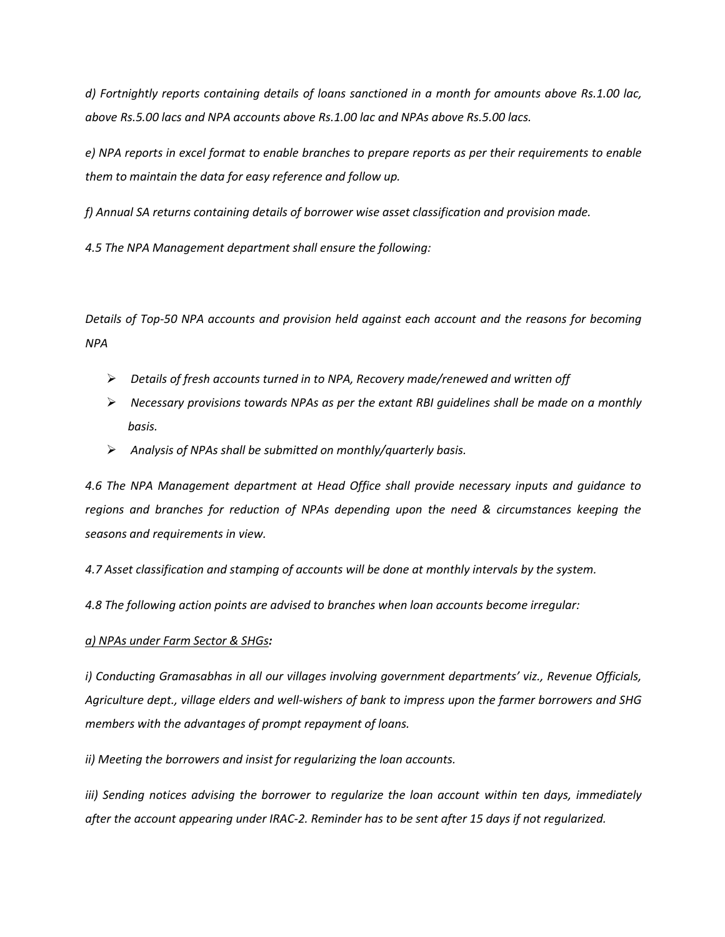*d) Fortnightly reports containing details of loans sanctioned in a month for amounts above Rs.1.00 lac, above Rs.5.00 lacs and NPA accounts above Rs.1.00 lac and NPAsabove Rs.5.00 lacs.*

e) NPA reports in excel format to enable branches to prepare reports as per their requirements to enable *them to maintain the data for easy reference and follow up.*

*f) Annual SA returns containing details of borrower wise asset classification and provision made.*

*4.5 The NPA Management department shall ensure the following:*

*Details of Top-50 NPA accounts and provision held against each account and the reasons for becoming NPA*

- *Details of fresh accounts turned in to NPA, Recovery made/renewed and written off*
- *Necessary provisions towards NPAs as per the extant RBIguidelines shall be made on a monthly basis.*
- *Analysis of NPAs shall be submitted on monthly/quarterly basis.*

*4.6 The NPA Management department at Head Office shall provide necessary inputs and guidance to regions and branches for reduction of NPAs depending upon the need & circumstances keeping the seasons and requirements in view.*

*4.7 Asset classification and stamping of accounts will be done at monthly intervals by the system.*

*4.8 The following action points are advised to branches when loan accounts become irregular:*

## *a) NPAs under Farm Sector & SHGs:*

*i) Conducting Gramasabhas in all our villages involving government departments' viz., Revenue Officials, Agriculture dept., village elders and well-wishers of bank to impress upon the farmer borrowers and SHG members with the advantages of prompt repayment of loans.*

*ii) Meeting the borrowers and insist for regularizing the loan accounts.*

*iii) Sending notices advising the borrower to regularize the loan account within ten days, immediately after the account appearing under IRAC-2. Reminder has to be sent after 15 days if not regularized.*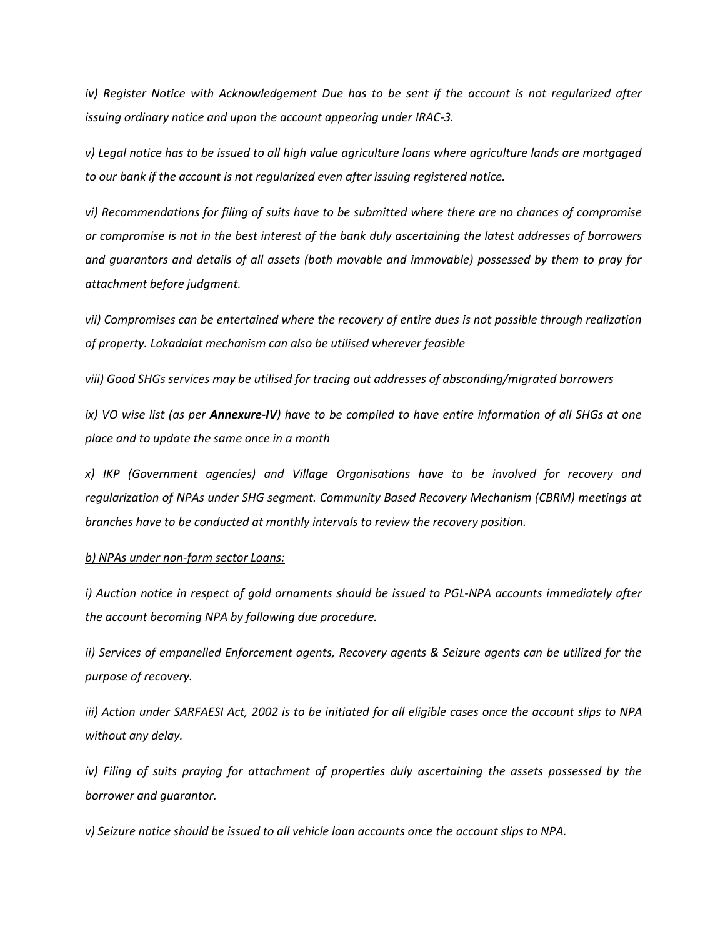*iv) Register Notice with Acknowledgement Due has to be sent if the account is not regularized after issuing ordinary notice and upon the account appearing under IRAC-3.*

*v) Legal notice hasto be issued to all high value agriculture loans where agriculture lands are mortgaged to our bank if the account is not regularized even after issuing registered notice.*

*vi) Recommendations for filing of suits have to be submitted where there are no chances of compromise* or compromise is not in the best interest of the bank duly ascertaining the latest addresses of borrowers *and guarantors and details of all assets (both movable and immovable) possessed bythem to pray for attachment before judgment.*

*vii) Compromises can be entertained where the recovery of entire dues is not possible through realization of property. Lokadalat mechanism can also be utilised wherever feasible*

*viii) Good SHGs services may be utilised for tracing out addresses of absconding/migrated borrowers*

ix) VO wise list (as per Annexure-IV) have to be compiled to have entire information of all SHGs at one *place and to update the same once in a month*

*x) IKP (Government agencies) and Village Organisations have to be involved for recovery and regularization of NPAs under SHG segment. Community Based Recovery Mechanism (CBRM) meetings at* branches have to be conducted at monthly intervals to review the recovery position.<br>b) NPAs under non-farm sector Loans:

*i) Auction notice in respect of gold ornaments should be issued to PGL-NPA accounts immediately after the account becoming NPA by following due procedure.*

*ii) Services of empanelled Enforcement agents, Recovery agents & Seizure agents can be utilized for the purpose of recovery.*

iii) Action under SARFAESI Act, 2002 is to be initiated for all eligible cases once the account slips to NPA *without any delay.*

*iv) Filing of suits praying for attachment of properties duly ascertaining the assets possessed by the borrower and guarantor.*

*v) Seizure notice should be issued to all vehicle loan accounts once the account slips to NPA.*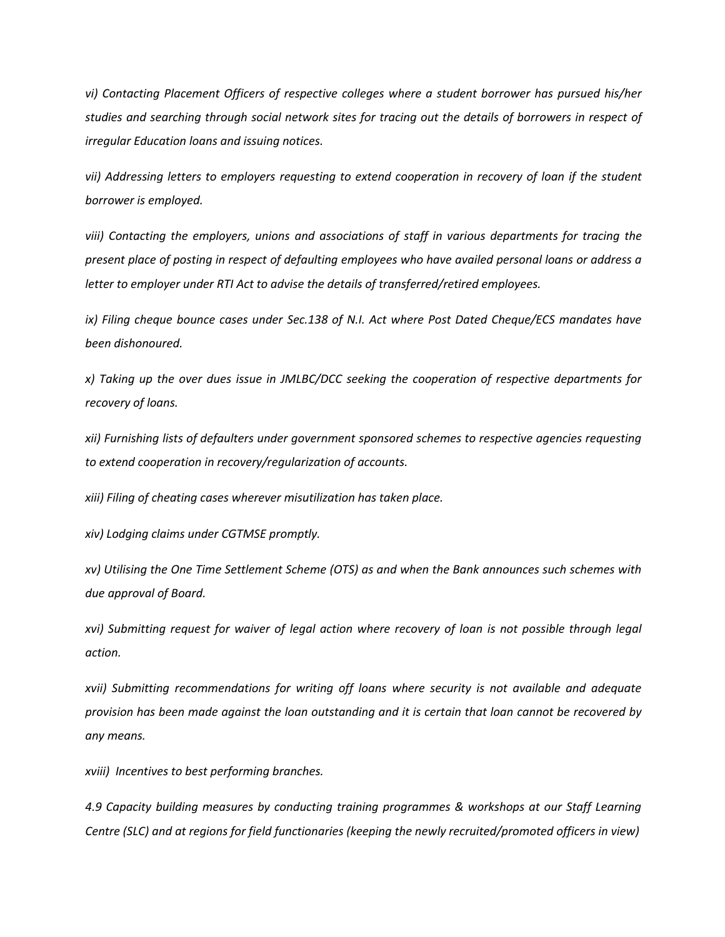*vi)* Contacting Placement Officers of respective colleges where a student borrower has pursued his/her *studies and searching through social network sites for tracing out the details of borrowers in respect of irregular Education loansand issuing notices.*

*vii) Addressing letters to employers requesting to extend cooperation in recovery of loan if the student borrower is employed.*

*viii) Contacting the employers, unions and associations of staff in various departments for tracing the present place of posting in respect of defaulting employees who have availed personal loans or address a letter to employer under RTI Act to advise the details of transferred/retired employees.*

*ix) Filing cheque bounce cases under Sec.138 of N.I. Act where Post Dated Cheque/ECS mandates have been dishonoured.*

*x) Taking up the over dues issue in JMLBC/DCC seeking the cooperation of respective departments for* recovery of loans.<br>xii) Furnishing lists of defaulters under government sponsored schemes to respective agencies requesting

*to extend cooperation in recovery/regularization of accounts.*

*xiii) Filing of cheating caseswherever misutilization has taken place.*

*xiv) Lodging claims under CGTMSE promptly.*

*xv) Utilising the One Time Settlement Scheme (OTS) as and when the Bank announces such schemes with due approval of Board.*

*xvi) Submitting requestfor waiver of legal action where recovery of loan is not possible through legal action.*

*xvii) Submitting recommendations for writing off loans where security is not available and adequate* provision has been made against the loan outstanding and it is certain that loan cannot be recovered by *any means.*

*xviii) Incentives to best performing branches.*

*4.9 Capacity building measures by conducting training programmes & workshops at our Staff Learning Centre (SLC) and at regions for field functionaries (keeping the newly recruited/promoted officers in view)*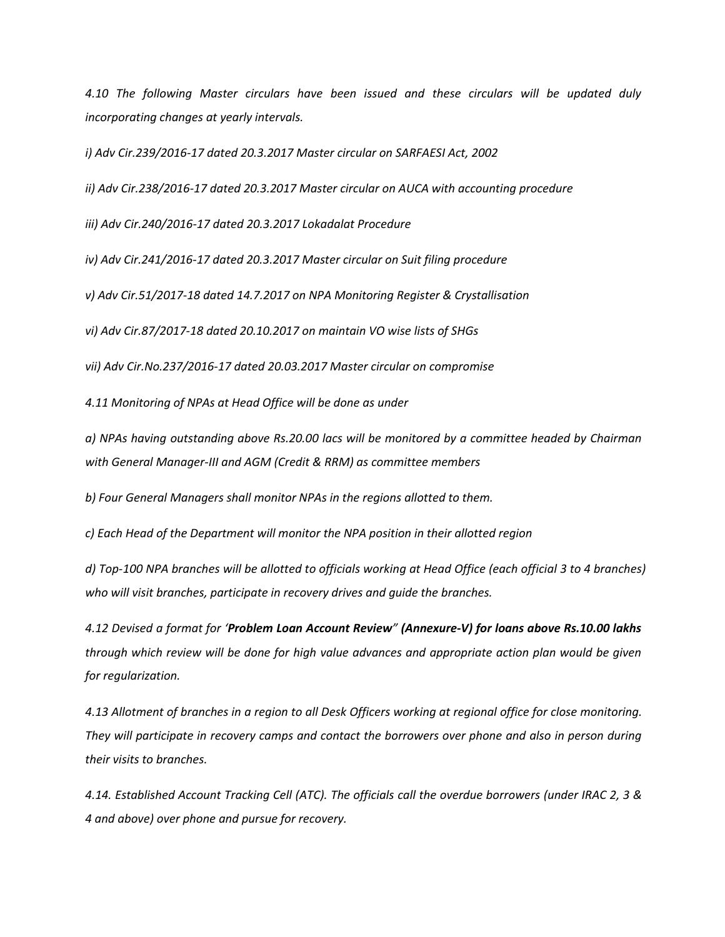*4.10 The following Master circulars have been issued and these circulars will be updated duly incorporating changes at yearly intervals.*

*i) Adv Cir.239/2016-17 dated 20.3.2017 Mastercircular on SARFAESI Act, 2002*

*ii*) Adv Cir.238/2016-17 dated 20.3.2017 Master circular on AUCA with accounting procedure

*iii) Adv Cir.240/2016-17 dated 20.3.2017 Lokadalat Procedure*

*iv) Adv Cir.241/2016-17 dated 20.3.2017 Mastercircular on Suit filing procedure*

*v) Adv Cir.51/2017-18 dated 14.7.2017 on NPA Monitoring Register & Crystallisation*

*vi) Adv Cir.87/2017-18 dated 20.10.2017 on maintain VO wise lists of SHGs*

*vii) Adv Cir.No.237/2016-17 dated 20.03.2017 Mastercircular on compromise*

*4.11 Monitoring of NPAs atHead Office will be done as under*

*a) NPAs having outstanding above Rs.20.00 lacs will be monitored by a committee headed by Chairman with General Manager-III and AGM (Credit & RRM) as committee members*

*b) Four General Managers shall monitor NPAs in the regions allotted to them.*

*c) Each Head of the Department will monitor the NPA position in their allotted region*

d) Top-100 NPA branches will be allotted to officials working at Head Office (each official 3 to 4 branches) *who will visit branches, participate in recovery drives and guide the branches.*

*4.12 Devised a format for 'Problem Loan Account Review" (Annexure-V) for loans above Rs.10.00 lakhs through which review will be done for high value advances and appropriate action plan would be given for regularization.*

4.13 Allotment of branches in a region to all Desk Officers working at regional office for close monitoring. *They will participate in recovery camps and contact the borrowers over phone and also in person during their visits to branches.*

4.14. Established Account Tracking Cell (ATC). The officials call the overdue borrowers (under IRAC 2, 3 & *4 and above) over phone and pursue for recovery.*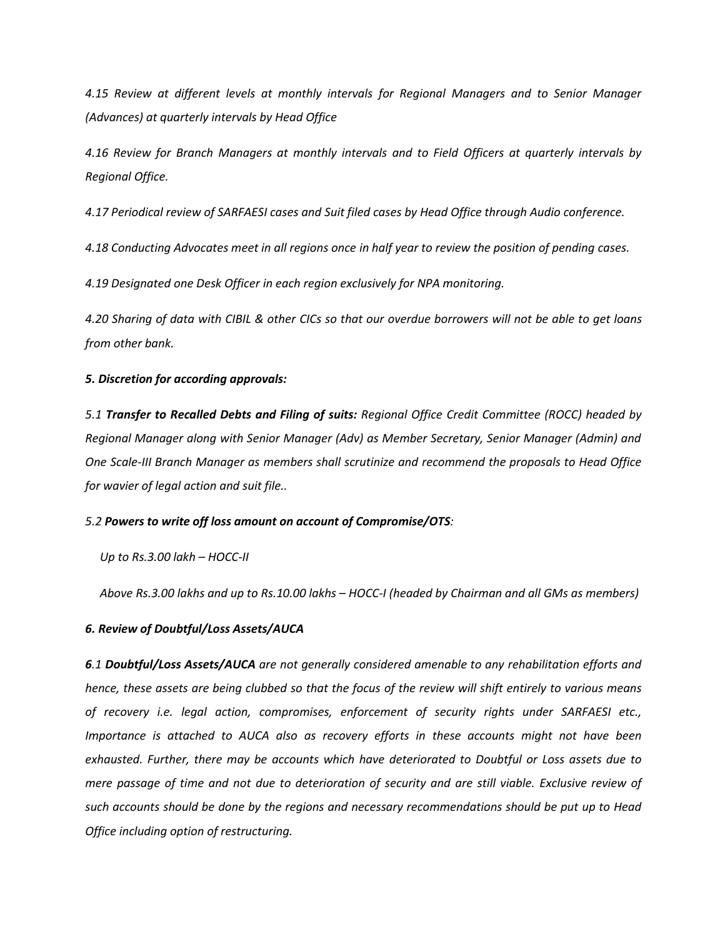*4.15 Review at different levels at monthly intervals for Regional Managers and to Senior Manager (Advances) at quarterly intervals by Head Office*

*4.16 Review for Branch Managers at monthly intervals and to Field Officers at quarterly intervals by Regional Office.*

4.17 Periodical review of SARFAESI cases and Suit filed cases by Head Office through Audio conference.<br>4.18 Conducting Advocates meet in all regions once in half year to review the position of pending cases.

*4.19 Designated one Desk Officer in each region exclusively for NPA monitoring.*

4.20 Sharing of data with CIBIL & other CICs so that our overdue borrowers will not be able to get loans *from other bank.*

## *5. Discretion for according approvals:*

*5.1 Transfer to Recalled Debts and Filing of suits: Regional Office CreditCommittee (ROCC) headed by Regional Manager along with Senior Manager (Adv) as Member Secretary, Senior Manager (Admin) and One Scale-III Branch Manager as members shall scrutinize and recommend the proposals to Head Office for wavier of legal action and suitfile..*

## *5.2 Powers to write off loss amount on accountof Compromise/OTS:*

*Up to Rs.3.00 lakh – HOCC-II*

*Above Rs.3.00 lakhs and up to Rs.10.00 lakhs – HOCC-I (headed by Chairman and all GMs as members)*

## *6. Review of Doubtful/Loss Assets/AUCA*

*6.1 Doubtful/Loss Assets/AUCA are not generally considered amenable to any rehabilitation efforts and* hence, these assets are being clubbed so that the focus of the review will shift entirely to various means *of recovery i.e. legal action, compromises, enforcement of security rights under SARFAESI etc., Importance is attached to AUCA also asrecovery efforts in these accounts might not have been exhausted. Further, there may be accounts which have deteriorated to Doubtful or Loss assets due to* mere passage of time and not due to deterioration of security and are still viable. Exclusive review of *such accounts should be done by the regions and necessary recommendations should be put up to Head Office including option of restructuring.*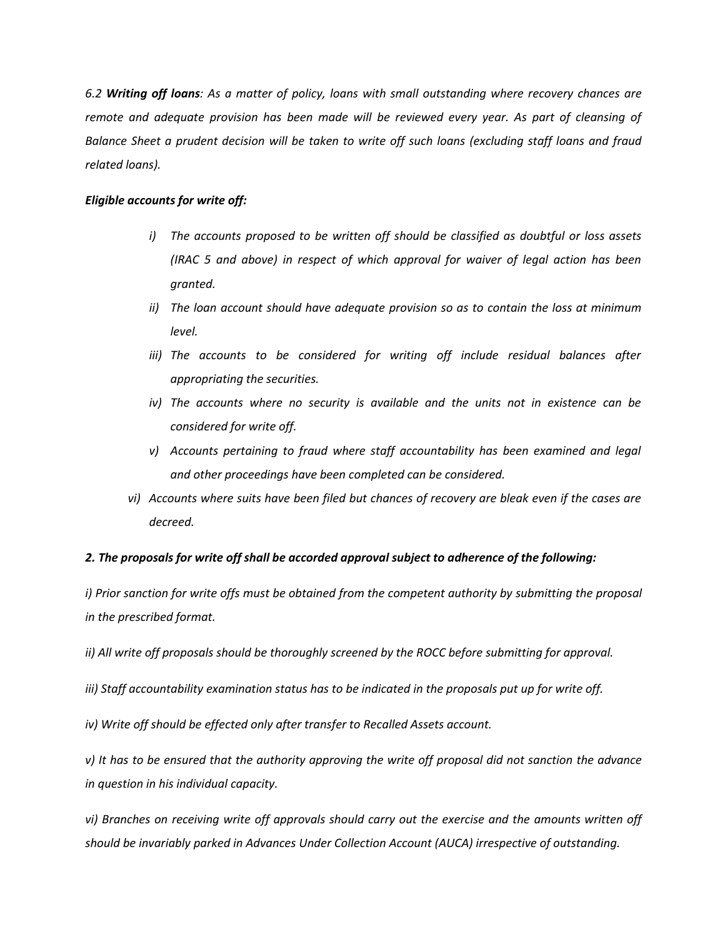6.2 Writing off loans: As a matter of policy, loans with small outstanding where recovery chances are *remote and adequate provision has been made will be reviewed every year. As part of cleansing of* Balance Sheet a prudent decision will be taken to write off such loans (excluding staff loans and fraud *related loans).*

## *Eligible accounts for write off:*

- *i) The accounts proposed to be written off should be classified as doubtful or loss assets (IRAC 5 and above) in respect of which approval for waiver of legal action has been granted.*
- *ii) The loan account should have adequate provision so asto contain the loss at minimum level.*
- *iii) The accounts to be considered for writing off include residual balances after appropriating the securities.*
- *iv*) The accounts where no security is available and the units not in existence can be *considered for write off.*
- *v) Accounts pertaining to fraud where staff accountability has been examined and legal and other proceedings have been completed can be considered.*
- *vi) Accounts where suits have been filed but chances of recovery are bleak even if the cases are decreed.*

## *2. The proposals for write off shall be accorded approval subject to adherence of the following:*

*i) Prior sanction for write offsmust be obtained from the competent authority by submitting the proposal in the prescribed format.*

*ii) All write off proposals should be thoroughly screened by the ROCC before submitting for approval.*

*iii) Staff accountability examination status has to be indicated in the proposals put up for write off.*

*iv) Write off should be effected only after transfer to Recalled Assets account.*

v) It has to be ensured that the authority approving the write off proposal did not sanction the advance *in question in his individualcapacity.*

*vi) Branches on receiving write off approvals should carry out the exercise and the amounts written off should be invariably parked in Advances Under Collection Account (AUCA) irrespective of outstanding.*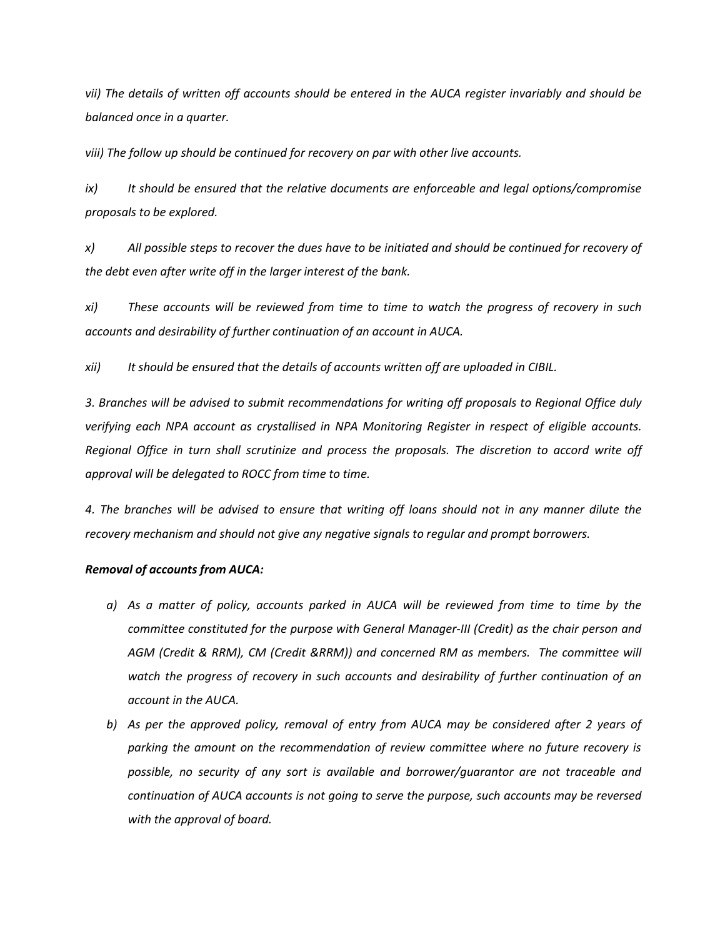vii) The details of written off accounts should be entered in the AUCA register invariably and should be *balanced once in a quarter.*

*viii) The follow up should be continued for recovery on par with other live accounts.*

*ix) It should be ensured that the relative documents are enforceable and legal options/compromise proposals to be explored.*

x) All possible steps to recover the dues have to be initiated and should be continued for recovery of *the debt even after write off in the larger interest of the bank.*

*xi) These accounts will be reviewed from time to time to watch the progress of recovery in such accounts and desirability of further continuation of an accountin AUCA.*

*xii) It should be ensured that the details of accounts written off are uploaded in CIBIL.*

*3. Branches will be advised to submit recommendations for writing off proposals to Regional Office duly verifying each NPA account as crystallised in NPA Monitoring Register in respect of eligible accounts. Regional Office in turn shall scrutinize and process the proposals. The discretion to accord write off approval will be delegated to ROCC from time to time.*

4. The branches will be advised to ensure that writing off loans should not in any manner dilute the *recovery mechanism and should not give any negative signals to regular and prompt borrowers.*

## *Removal of accounts from AUCA:*

- *a) As a matterof policy, accounts parked in AUCA will be reviewed from time to time by the committee constituted for the purpose with General Manager-III (Credit) as the chair person and AGM (Credit & RRM), CM (Credit &RRM)) and concerned RM as members. The committee will watch the progress of recovery in such accounts and desirability of further continuation of an account in the AUCA.*
- *b) As per the approved policy, removal of entry from AUCA may be considered after 2 years of parking the amount on the recommendation of review committee where no future recovery is possible, no security of any sort is available and borrower/guarantor are not traceable and continuation of AUCA accounts is not going to serve the purpose, such accounts may be reversed with the approval of board.*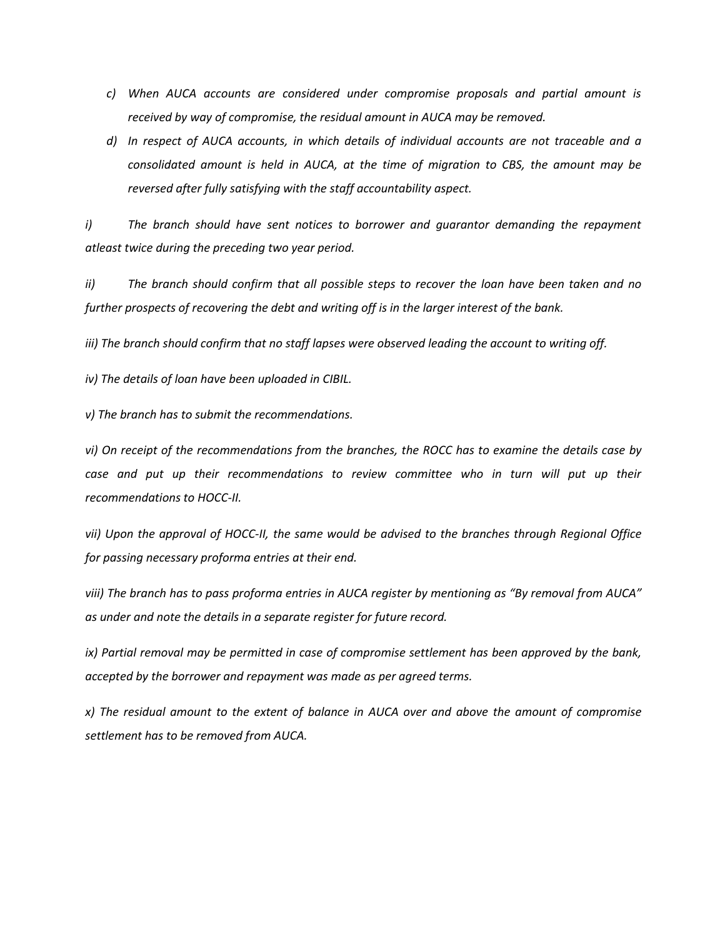- *c) When AUCA accounts are considered under compromise proposals and partial amount is received by way of compromise, the residual amount in AUCA may be removed.*
- *d) In respect of AUCA accounts, in which details of individual accounts are not traceable and a consolidated amount is held in AUCA, at the time of migration to CBS, the amount may be reversed after fully satisfying with the staff accountability aspect.*

*i) The branch should have sent notices to borrower and guarantor demanding the repayment atleast twice during the preceding two year period.*

*ii) The branch should confirm that all possible steps to recover the loan have been taken and no further prospects of recovering the debt and writing off is in the larger interest of the bank.*

*iii) The branch should confirm that no staff lapses were observed leading the account to writing off.*

*iv) The details of loan have been uploaded in CIBIL.*

*v) The branch has to submit the recommendations.*

vi) On receipt of the recommendations from the branches, the ROCC has to examine the details case by *case and put up their recommendations to review committee who in turn will put up their recommendations to HOCC-II.*

*vii) Upon the approval of HOCC-II, the same would be advised to the branches through Regional Office for passing necessary proforma entries at their end.*

viii) The branch has to pass proforma entries in AUCA register by mentioning as "By removal from AUCA" *as under and note the details in a separate register for future record.*

*ix) Partial removal may be permitted in case of compromise settlement has been approved by the bank, accepted by the borrower and repayment was made as per agreed terms.*

*x) The residual amount to the extent of balance in AUCA over and above the amount of compromise settlement has to be removed from AUCA.*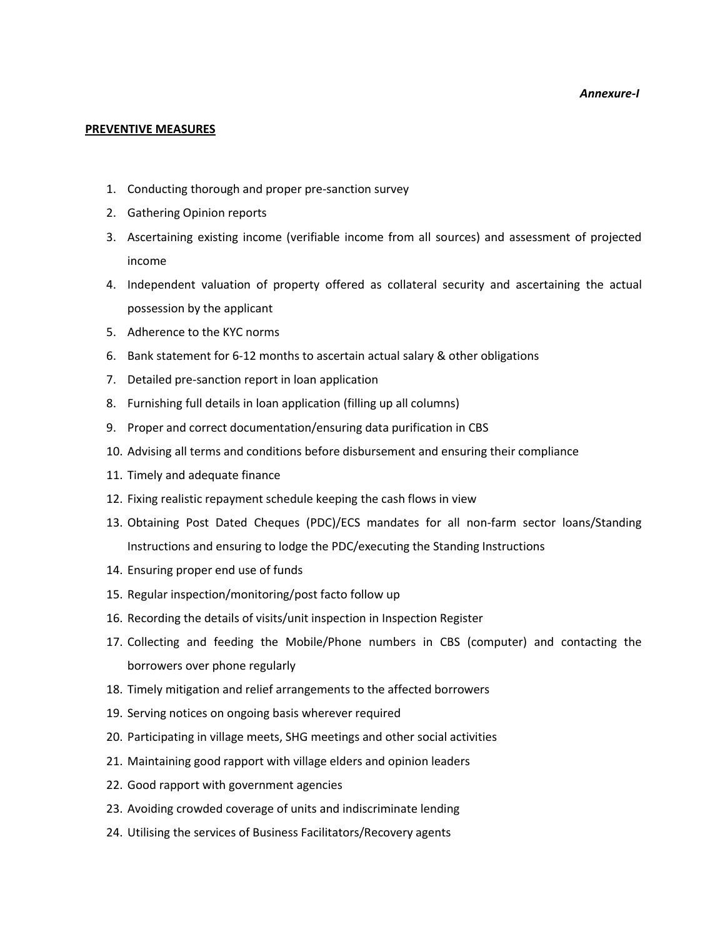#### *Annexure-I*

### **PREVENTIVE MEASURES**

- 1. Conducting thorough and proper pre-sanction survey
- 2. Gathering Opinion reports
- 3. Ascertaining existing income (verifiable income from all sources) and assessment of projected income
- 4. Independent valuation of property offered as collateral security and ascertaining the actual possession by the applicant
- 5. Adherence to the KYC norms
- 6. Bank statement for 6-12 months to ascertain actual salary & other obligations
- 7. Detailed pre-sanction report in loan application
- 8. Furnishing full details in loan application (filling up all columns)
- 9. Proper and correct documentation/ensuring data purification in CBS
- 10. Advising all terms and conditions before disbursement and ensuring their compliance
- 11. Timely and adequate finance
- 12. Fixing realistic repayment schedule keeping the cash flows in view
- 13. Obtaining Post Dated Cheques (PDC)/ECS mandates for all non-farm sector loans/Standing Instructions and ensuring to lodge the PDC/executing the Standing Instructions
- 14. Ensuring proper end use of funds
- 15. Regular inspection/monitoring/post facto follow up
- 16. Recording the details of visits/unit inspection in Inspection Register
- 17. Collecting and feeding the Mobile/Phone numbers in CBS (computer) and contacting the borrowers over phone regularly
- 18. Timely mitigation and relief arrangements to the affected borrowers
- 19. Serving notices on ongoing basis wherever required
- 20. Participating in village meets, SHG meetings and other social activities
- 21. Maintaining good rapport with village elders and opinion leaders
- 22. Good rapport with government agencies
- 23. Avoiding crowded coverage of units and indiscriminate lending
- 24. Utilising the services of Business Facilitators/Recovery agents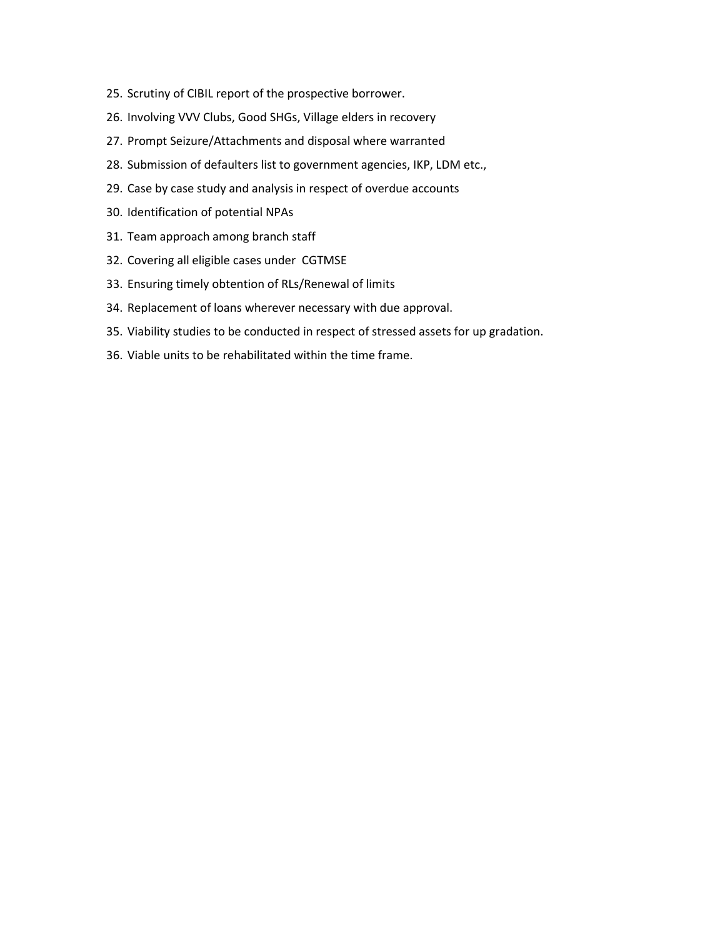- 25. Scrutiny of CIBIL report of the prospective borrower.
- 26. Involving VVV Clubs, Good SHGs, Village elders in recovery
- 27. Prompt Seizure/Attachments and disposal where warranted
- 28. Submission of defaulters list to government agencies, IKP, LDM etc.,
- 29. Case by case study and analysis in respect of overdue accounts
- 30. Identification of potential NPAs
- 31. Team approach among branch staff
- 32. Covering all eligible cases under CGTMSE
- 33. Ensuring timely obtention of RLs/Renewal of limits
- 34. Replacement of loans wherever necessary with due approval.
- 35. Viability studies to be conducted in respect of stressed assets for up gradation.
- 36. Viable units to be rehabilitated within the time frame.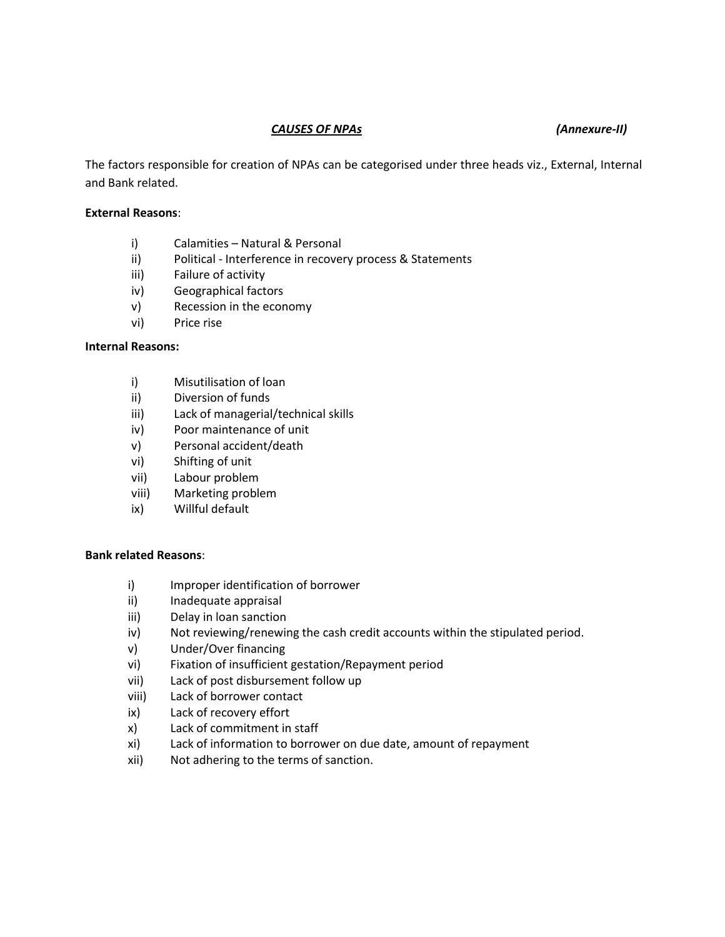## *CAUSES OF NPAs (Annexure-II)*

The factors responsible for creation of NPAs can be categorised under three heads viz., External, Internal and Bank related.

## **External Reasons**:

- i) Calamities Natural & Personal
- ii) Political Interference in recovery process & Statements
- iii) Failure of activity
- iv) Geographical factors
- v) Recession in the economy
- vi) Price rise

## **Internal Reasons:**

- i) Misutilisation of loan
- ii) Diversion of funds
- iii) Lack of managerial/technical skills
- iv) Poor maintenance of unit
- v) Personal accident/death
- vi) Shifting of unit
- vii) Labour problem
- viii) Marketing problem
- ix) Willful default

## **Bank related Reasons**:

- i) Improper identification of borrower
- ii) Inadequate appraisal
- iii) Delay in loan sanction
- iv) Not reviewing/renewing the cash credit accounts within the stipulated period.
- v) Under/Over financing
- vi) Fixation of insufficient gestation/Repayment period
- vii) Lack of post disbursement follow up
- viii) Lack of borrower contact
- ix) Lack of recovery effort
- x) Lack of commitment in staff
- xi) Lack of information to borrower on due date, amount of repayment
- xii) Not adhering to the terms of sanction.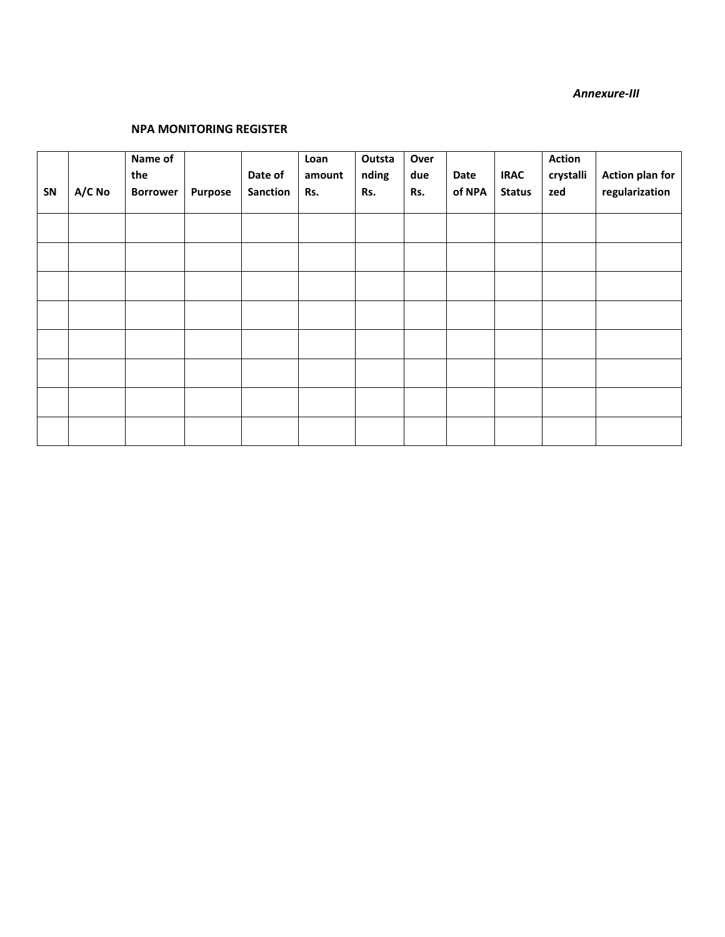### *Annexure-III*

## **NPA MONITORING REGISTER**

| SN | A/C No | Name of<br>the<br><b>Borrower</b> | <b>Purpose</b> | Date of<br><b>Sanction</b> | Loan<br>amount<br>Rs. | Outsta<br>nding<br>Rs. | Over<br>due<br>Rs. | Date<br>of NPA | <b>IRAC</b><br><b>Status</b> | <b>Action</b><br>crystalli<br>zed | <b>Action plan for</b><br>regularization |
|----|--------|-----------------------------------|----------------|----------------------------|-----------------------|------------------------|--------------------|----------------|------------------------------|-----------------------------------|------------------------------------------|
|    |        |                                   |                |                            |                       |                        |                    |                |                              |                                   |                                          |
|    |        |                                   |                |                            |                       |                        |                    |                |                              |                                   |                                          |
|    |        |                                   |                |                            |                       |                        |                    |                |                              |                                   |                                          |
|    |        |                                   |                |                            |                       |                        |                    |                |                              |                                   |                                          |
|    |        |                                   |                |                            |                       |                        |                    |                |                              |                                   |                                          |
|    |        |                                   |                |                            |                       |                        |                    |                |                              |                                   |                                          |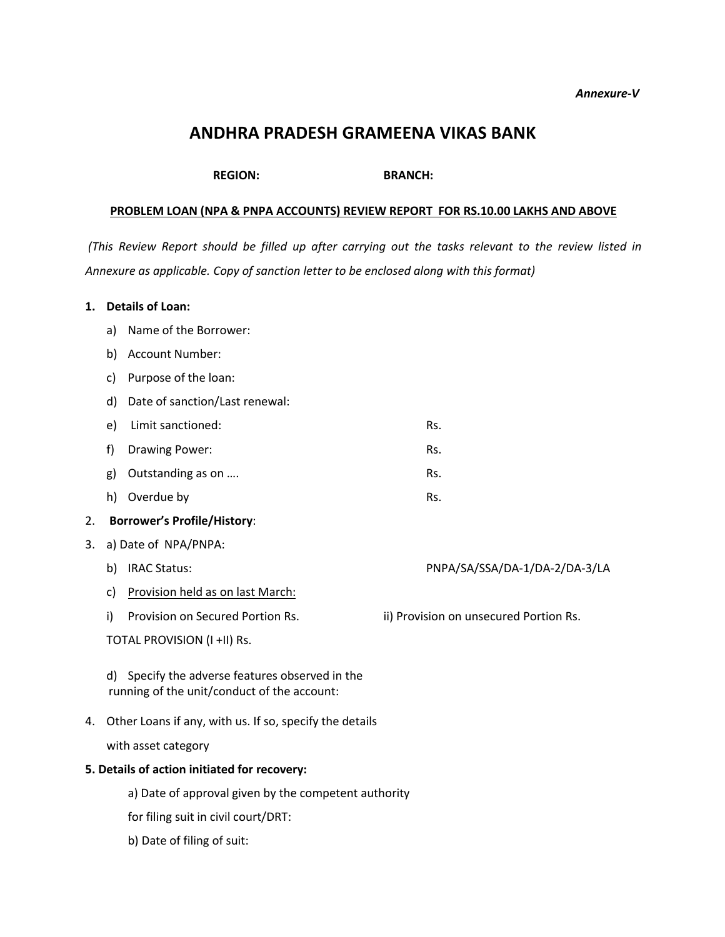#### *Annexure-V*

# **ANDHRA PRADESH GRAMEENA VIKAS BANK**

**REGION: BRANCH:**

## **PROBLEM LOAN (NPA & PNPA ACCOUNTS) REVIEW REPORT FOR RS.10.00 LAKHS AND ABOVE**

(This Review Report should be filled up after carrying out the tasks relevant to the review listed in *Annexure as applicable. Copy of sanction letter to be enclosed along with this format)*

## **1. Details of Loan:**

- a) Name of the Borrower:
- b) Account Number:
- c) Purpose of the loan:
- d) Date of sanction/Last renewal:
- e) Limit sanctioned: Rs.
- f) Drawing Power: Rs.
- g) Outstanding as on .... Rs.
- h) Overdue by Rs.

## 2. **Borrower's Profile/History**:

- 3. a) Date of NPA/PNPA:
	- b) IRAC Status: PNPA/SA/SSA/DA-1/DA-2/DA-3/LA
	- c) Provision held as on last March:
	- i) Provision on Secured Portion Rs. ii) Provision on unsecured Portion Rs.

TOTAL PROVISION (I +II) Rs.

d) Specify the adverse features observed in the running of the unit/conduct of the account:

4. Other Loans if any, with us. If so, specify the details

with asset category

## **5. Details of action initiated for recovery:**

- a) Date of approval given by the competent authority
- for filing suit in civil court/DRT:
- b) Date of filing of suit: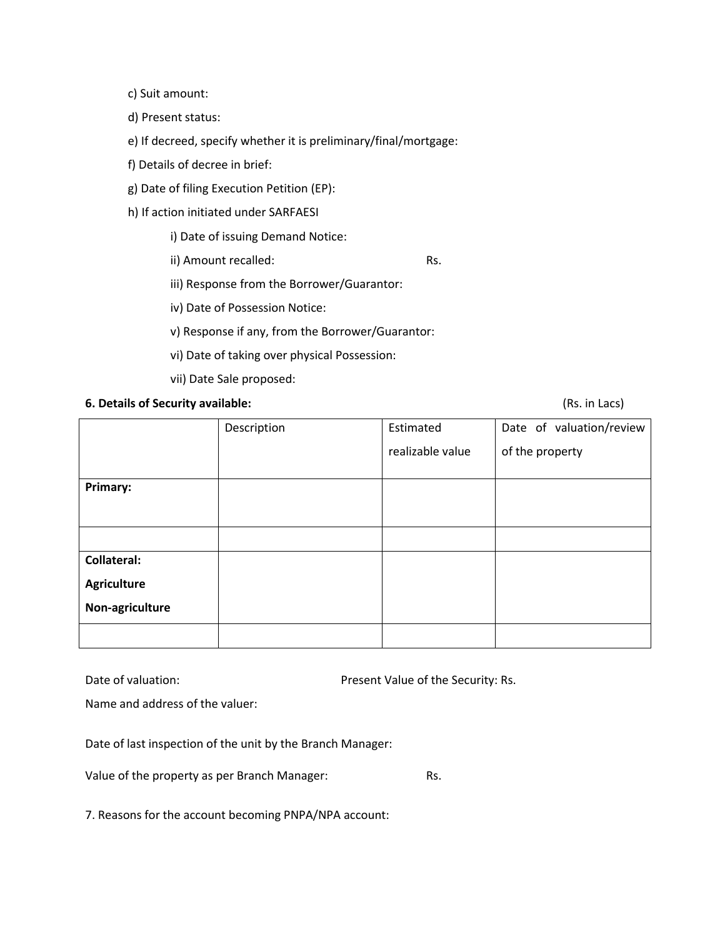- c) Suit amount:
- d) Present status:
- e) If decreed, specify whether it is preliminary/final/mortgage:
- f) Details of decree in brief:
- g) Date of filing Execution Petition (EP):
- h) If action initiated under SARFAESI

i) Date of issuing Demand Notice:

ii) Amount recalled: Rs.

iii) Response from the Borrower/Guarantor:

iv) Date of Possession Notice:

v) Response if any, from the Borrower/Guarantor:

- vi) Date of taking over physical Possession:
- vii) Date Sale proposed:

## **6. Details of Security available:** (Rs. in Lacs)

|                    | Description | Estimated        | Date of valuation/review |  |
|--------------------|-------------|------------------|--------------------------|--|
|                    |             | realizable value | of the property          |  |
|                    |             |                  |                          |  |
| Primary:           |             |                  |                          |  |
|                    |             |                  |                          |  |
|                    |             |                  |                          |  |
| <b>Collateral:</b> |             |                  |                          |  |
| <b>Agriculture</b> |             |                  |                          |  |
| Non-agriculture    |             |                  |                          |  |
|                    |             |                  |                          |  |

| Date of valuation: | Present Value of the Security: Rs. |
|--------------------|------------------------------------|
|                    |                                    |

Name and address of the valuer:

Date of last inspection of the unit by the Branch Manager:

Value of the property as per Branch Manager: Rs.

7. Reasons for the account becoming PNPA/NPA account: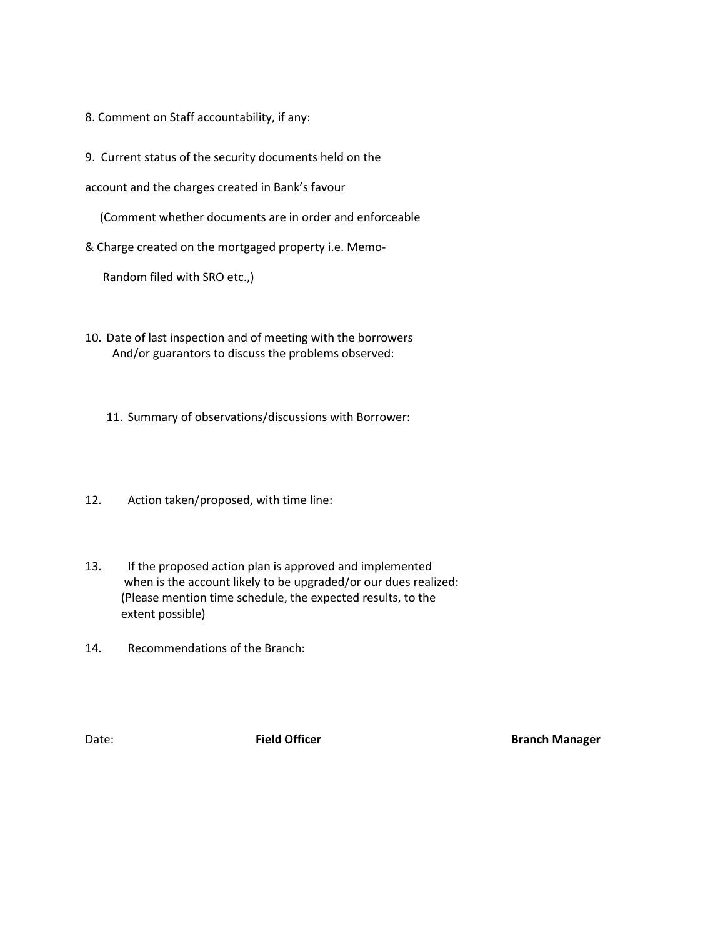- 8. Comment on Staff accountability, if any:
- 9. Current status of the security documents held on the

account and the charges created in Bank's favour

(Comment whether documents are in order and enforceable

& Charge created on the mortgaged property i.e. Memo-

Random filed with SRO etc.,)

10. Date of last inspection and of meeting with the borrowers And/or guarantors to discuss the problems observed:

11. Summary of observations/discussions with Borrower:

- 12. Action taken/proposed, with time line:
- 13. If the proposed action plan is approved and implemented when is the account likely to be upgraded/or our dues realized: (Please mention time schedule, the expected results, to the extent possible)
- 14. Recommendations of the Branch:

**Date: Field Officer Branch Manager**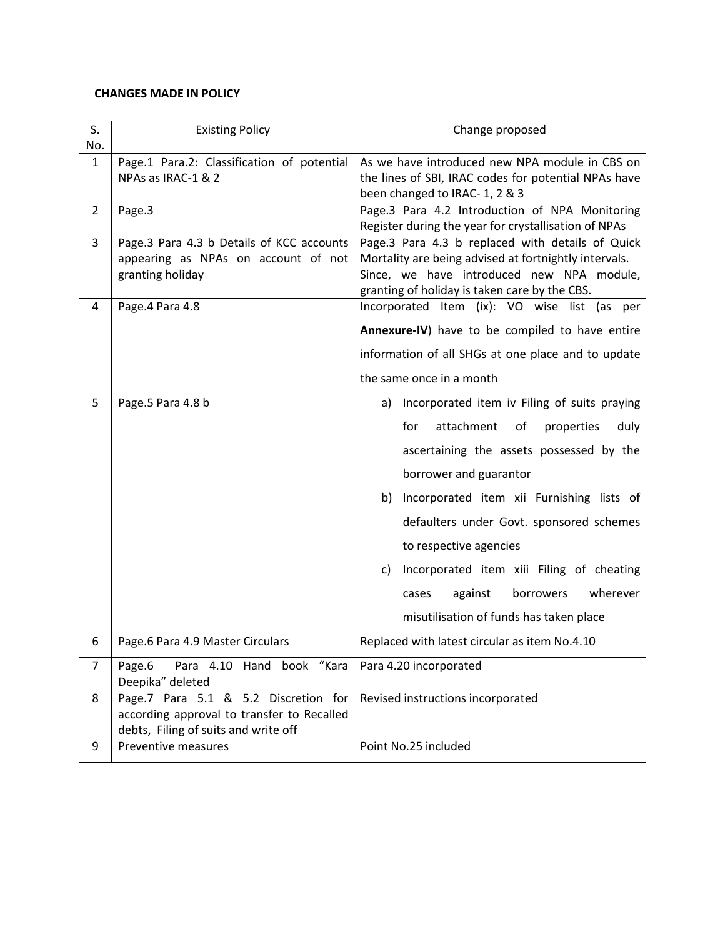## **CHANGES MADE IN POLICY**

| S.<br>No.      | <b>Existing Policy</b>                                                                                                     | Change proposed                                                                                                                                                                                         |
|----------------|----------------------------------------------------------------------------------------------------------------------------|---------------------------------------------------------------------------------------------------------------------------------------------------------------------------------------------------------|
| $\mathbf{1}$   | Page.1 Para.2: Classification of potential<br>NPAs as IRAC-1 & 2                                                           | As we have introduced new NPA module in CBS on<br>the lines of SBI, IRAC codes for potential NPAs have<br>been changed to IRAC- 1, 2 & 3                                                                |
| $\overline{2}$ | Page.3                                                                                                                     | Page.3 Para 4.2 Introduction of NPA Monitoring<br>Register during the year for crystallisation of NPAs                                                                                                  |
| 3              | Page.3 Para 4.3 b Details of KCC accounts<br>appearing as NPAs on account of not<br>granting holiday                       | Page.3 Para 4.3 b replaced with details of Quick<br>Mortality are being advised at fortnightly intervals.<br>Since, we have introduced new NPA module,<br>granting of holiday is taken care by the CBS. |
| 4              | Page.4 Para 4.8                                                                                                            | Incorporated Item (ix): VO wise list (as per                                                                                                                                                            |
|                |                                                                                                                            | Annexure-IV) have to be compiled to have entire                                                                                                                                                         |
|                |                                                                                                                            | information of all SHGs at one place and to update                                                                                                                                                      |
|                |                                                                                                                            | the same once in a month                                                                                                                                                                                |
| 5.             | Page.5 Para 4.8 b                                                                                                          | Incorporated item iv Filing of suits praying<br>a)                                                                                                                                                      |
|                |                                                                                                                            | attachment<br>properties<br>for<br>of<br>duly                                                                                                                                                           |
|                |                                                                                                                            | ascertaining the assets possessed by the                                                                                                                                                                |
|                |                                                                                                                            | borrower and guarantor                                                                                                                                                                                  |
|                |                                                                                                                            | b) Incorporated item xii Furnishing lists of                                                                                                                                                            |
|                |                                                                                                                            | defaulters under Govt. sponsored schemes                                                                                                                                                                |
|                |                                                                                                                            | to respective agencies                                                                                                                                                                                  |
|                |                                                                                                                            | c) Incorporated item xiii Filing of cheating                                                                                                                                                            |
|                |                                                                                                                            | wherever<br>against<br>borrowers<br>cases                                                                                                                                                               |
|                |                                                                                                                            | misutilisation of funds has taken place                                                                                                                                                                 |
| 6              | Page.6 Para 4.9 Master Circulars                                                                                           | Replaced with latest circular as item No.4.10                                                                                                                                                           |
| $\overline{7}$ | Para 4.10 Hand book "Kara<br>Page.6<br>Deepika" deleted                                                                    | Para 4.20 incorporated                                                                                                                                                                                  |
| 8              | Page.7 Para 5.1 & 5.2 Discretion for<br>according approval to transfer to Recalled<br>debts, Filing of suits and write off | Revised instructions incorporated                                                                                                                                                                       |
| 9              | Preventive measures                                                                                                        | Point No.25 included                                                                                                                                                                                    |
|                |                                                                                                                            |                                                                                                                                                                                                         |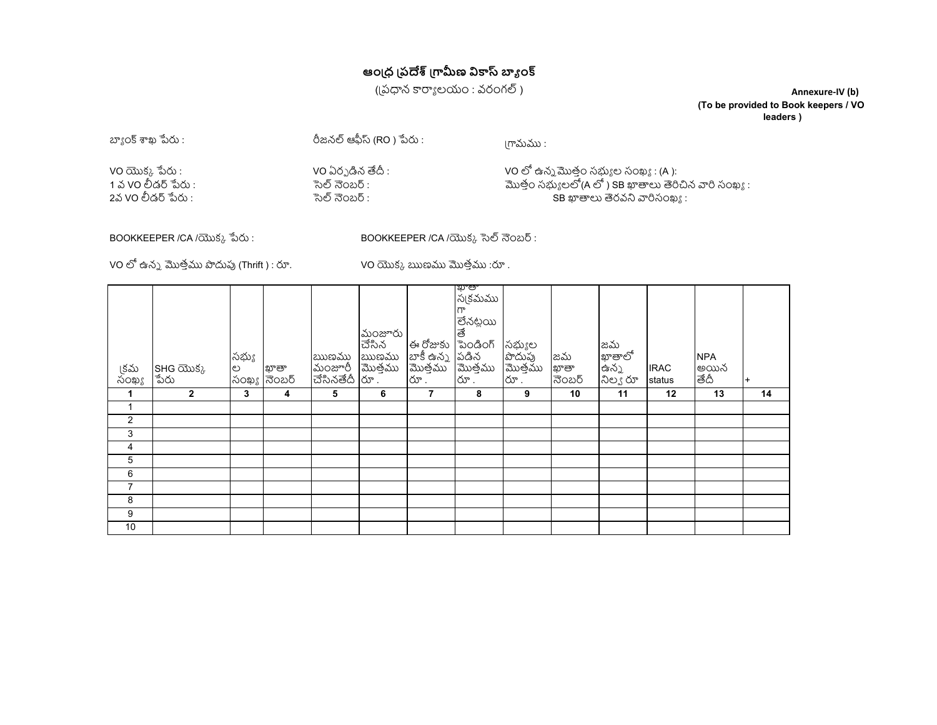# **ఆంऴధ ऴపࢰ ऴڴࠬణ ࣒ڒ ࠈङ ంڡ**

((పధాన కార్యాలయం : వరంగల్)

**Annexure-IV (b) (To be provided to Book keepers / VO leaders )**

 $2^{\circ}$ ్యంక్ శాఖ పేరు :  $\frac{1}{2}$  బా $\frac{1}{2}$ రీజనల్ ఆఫీస్ (RO ) పేరు : ।గామము : VO ࡅకए ߮ࡏ : VO ఏరओ ݟన ޙ : VO ࡹ ఉనऒ࠴తంफ సࠜङ ల సంఖङ : (A ): 1 వ VO లీడర్ పేరు : సంఖ్య సంఖ్య సంఖ్య సంఖ్య సంఖ్య సంఖ్య సంఖ్య సంఖ్య సంఖ్య సంఖ్య సంఖ్య :<br>1వ VO లీడర్ పేరు : సంఖ్య సంఖ్య సంఖ్య సంఖ్య సంఖ్య సంఖ్య సంఖ్య సంఖ్య సంఖ్య సంఖ్య సంఖ్య సంఖ్య సంఖ్య సంఖ్య సంఖ్య స సెల్ నెంబర్ :  $\overline{S}$ B ఖాతాలు తెరవని వారిసంఖ్య :

BOOKKEEPER /CA /యొక్క పేరు : BOOKKEEPER /CA /యొక్క సెల్ నెంబర్ :

VO లో ఉన్న మొత్తము పొదుపు (Thrift ) : రూ.  $\sim$  VO యొక్క ఋణము మొత్తము :రూ .

| ్షకమ<br>సంఖ్య  | SHG యొక్క $\frac{1}{2}$ పేరు | సభ్యు | ల  ఖాతా<br>సంఖ్య <mark>నెంబర్</mark> | ఋణము<br>మంజూరీ<br>చేసినతేదీ | మంజూరు<br>ಹೆಸಿನ<br>ఋణము | ఈ రోజుకు       | పు.ఉ.<br>స్కవుము<br>గా<br>లేనట్లయి<br>తే<br>పెండింగ్<br>లా రోజు<br>బాకీ ఉన్న పడిన<br>మొత్తము మొత్తము<br>రూ | సభ్యుల<br>పొదుపు<br>మొత్తము<br>రూ | జమ<br>ఖాతా<br>నెంబర్ | జమ<br>ఖాతాలో<br>ఉన్న<br>నిల్య రూ | <b>IRAC</b><br>status | <b>NPA</b><br>అయిన<br>తేదీ |    |
|----------------|------------------------------|-------|--------------------------------------|-----------------------------|-------------------------|----------------|------------------------------------------------------------------------------------------------------------|-----------------------------------|----------------------|----------------------------------|-----------------------|----------------------------|----|
| 1              | $\overline{2}$               | 3     | 4                                    | 5                           | 6                       | $\overline{7}$ | 8                                                                                                          | 9                                 | 10                   | 11                               | 12                    | 13                         | 14 |
| $\mathbf{1}$   |                              |       |                                      |                             |                         |                |                                                                                                            |                                   |                      |                                  |                       |                            |    |
| $\overline{2}$ |                              |       |                                      |                             |                         |                |                                                                                                            |                                   |                      |                                  |                       |                            |    |
| 3              |                              |       |                                      |                             |                         |                |                                                                                                            |                                   |                      |                                  |                       |                            |    |
| 4              |                              |       |                                      |                             |                         |                |                                                                                                            |                                   |                      |                                  |                       |                            |    |
| 5              |                              |       |                                      |                             |                         |                |                                                                                                            |                                   |                      |                                  |                       |                            |    |
| 6              |                              |       |                                      |                             |                         |                |                                                                                                            |                                   |                      |                                  |                       |                            |    |
| $\overline{7}$ |                              |       |                                      |                             |                         |                |                                                                                                            |                                   |                      |                                  |                       |                            |    |
| 8              |                              |       |                                      |                             |                         |                |                                                                                                            |                                   |                      |                                  |                       |                            |    |
| 9              |                              |       |                                      |                             |                         |                |                                                                                                            |                                   |                      |                                  |                       |                            |    |
| 10             |                              |       |                                      |                             |                         |                |                                                                                                            |                                   |                      |                                  |                       |                            |    |